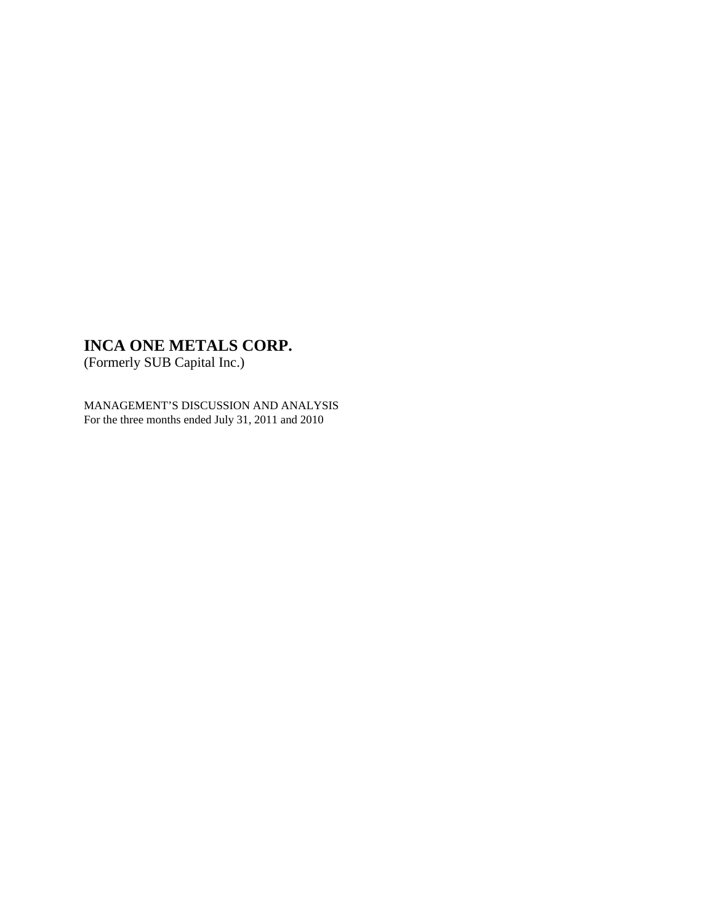(Formerly SUB Capital Inc.)

MANAGEMENT'S DISCUSSION AND ANALYSIS For the three months ended July 31, 2011 and 2010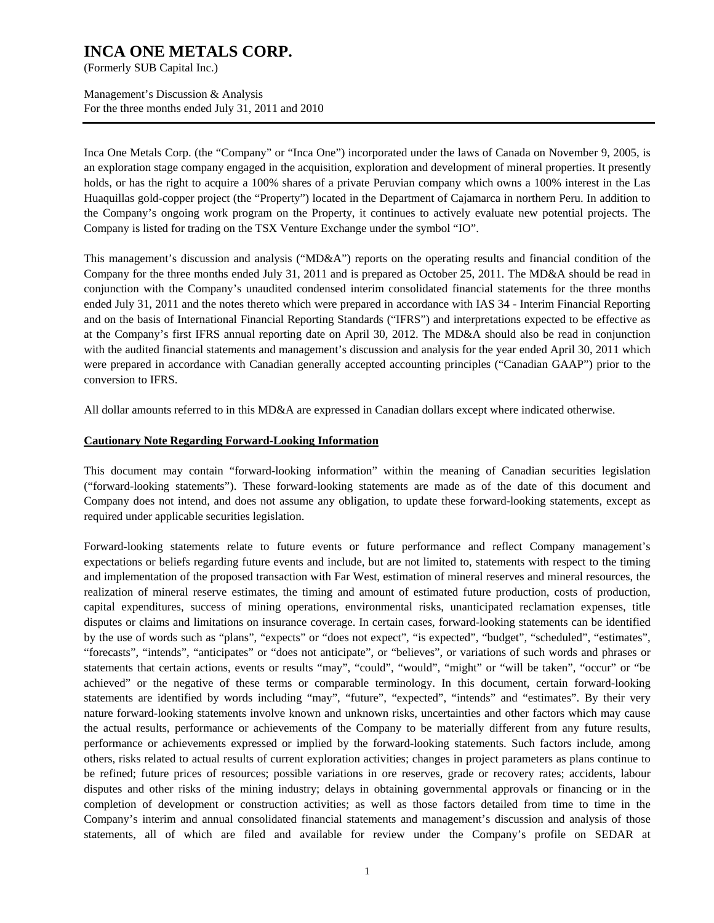(Formerly SUB Capital Inc.)

Management's Discussion & Analysis For the three months ended July 31, 2011 and 2010

Inca One Metals Corp. (the "Company" or "Inca One") incorporated under the laws of Canada on November 9, 2005, is an exploration stage company engaged in the acquisition, exploration and development of mineral properties. It presently holds, or has the right to acquire a 100% shares of a private Peruvian company which owns a 100% interest in the Las Huaquillas gold-copper project (the "Property") located in the Department of Cajamarca in northern Peru. In addition to the Company's ongoing work program on the Property, it continues to actively evaluate new potential projects. The Company is listed for trading on the TSX Venture Exchange under the symbol "IO".

This management's discussion and analysis ("MD&A") reports on the operating results and financial condition of the Company for the three months ended July 31, 2011 and is prepared as October 25, 2011. The MD&A should be read in conjunction with the Company's unaudited condensed interim consolidated financial statements for the three months ended July 31, 2011 and the notes thereto which were prepared in accordance with IAS 34 - Interim Financial Reporting and on the basis of International Financial Reporting Standards ("IFRS") and interpretations expected to be effective as at the Company's first IFRS annual reporting date on April 30, 2012. The MD&A should also be read in conjunction with the audited financial statements and management's discussion and analysis for the year ended April 30, 2011 which were prepared in accordance with Canadian generally accepted accounting principles ("Canadian GAAP") prior to the conversion to IFRS.

All dollar amounts referred to in this MD&A are expressed in Canadian dollars except where indicated otherwise.

#### **Cautionary Note Regarding Forward-Looking Information**

This document may contain "forward-looking information" within the meaning of Canadian securities legislation ("forward-looking statements"). These forward-looking statements are made as of the date of this document and Company does not intend, and does not assume any obligation, to update these forward-looking statements, except as required under applicable securities legislation.

Forward-looking statements relate to future events or future performance and reflect Company management's expectations or beliefs regarding future events and include, but are not limited to, statements with respect to the timing and implementation of the proposed transaction with Far West, estimation of mineral reserves and mineral resources, the realization of mineral reserve estimates, the timing and amount of estimated future production, costs of production, capital expenditures, success of mining operations, environmental risks, unanticipated reclamation expenses, title disputes or claims and limitations on insurance coverage. In certain cases, forward-looking statements can be identified by the use of words such as "plans", "expects" or "does not expect", "is expected", "budget", "scheduled", "estimates", "forecasts", "intends", "anticipates" or "does not anticipate", or "believes", or variations of such words and phrases or statements that certain actions, events or results "may", "could", "would", "might" or "will be taken", "occur" or "be achieved" or the negative of these terms or comparable terminology. In this document, certain forward-looking statements are identified by words including "may", "future", "expected", "intends" and "estimates". By their very nature forward-looking statements involve known and unknown risks, uncertainties and other factors which may cause the actual results, performance or achievements of the Company to be materially different from any future results, performance or achievements expressed or implied by the forward-looking statements. Such factors include, among others, risks related to actual results of current exploration activities; changes in project parameters as plans continue to be refined; future prices of resources; possible variations in ore reserves, grade or recovery rates; accidents, labour disputes and other risks of the mining industry; delays in obtaining governmental approvals or financing or in the completion of development or construction activities; as well as those factors detailed from time to time in the Company's interim and annual consolidated financial statements and management's discussion and analysis of those statements, all of which are filed and available for review under the Company's profile on SEDAR at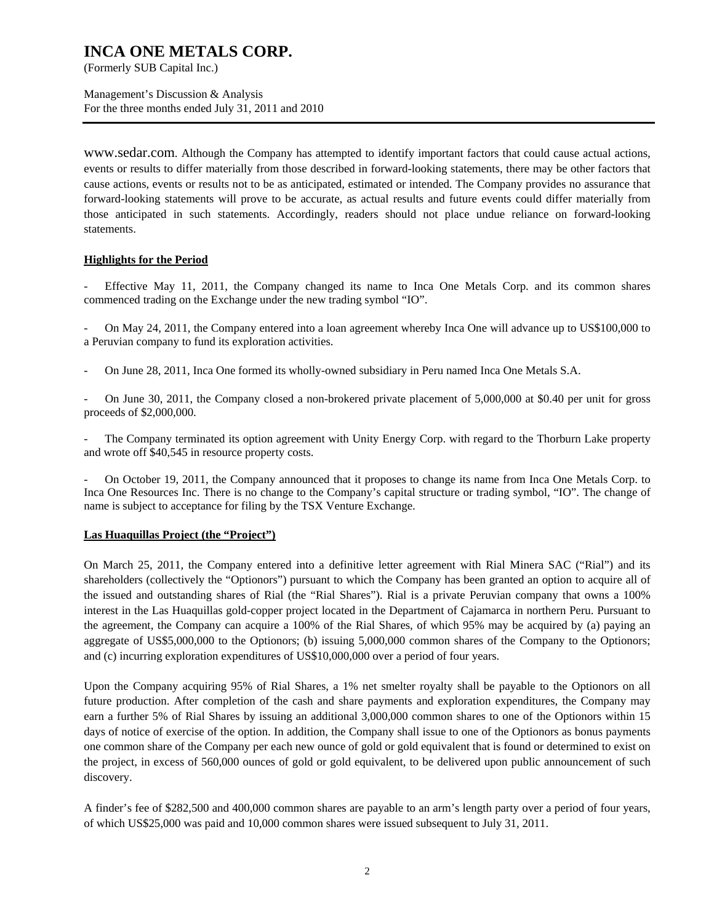(Formerly SUB Capital Inc.)

Management's Discussion & Analysis For the three months ended July 31, 2011 and 2010

www.sedar.com. Although the Company has attempted to identify important factors that could cause actual actions, events or results to differ materially from those described in forward-looking statements, there may be other factors that cause actions, events or results not to be as anticipated, estimated or intended. The Company provides no assurance that forward-looking statements will prove to be accurate, as actual results and future events could differ materially from those anticipated in such statements. Accordingly, readers should not place undue reliance on forward-looking statements.

### **Highlights for the Period**

Effective May 11, 2011, the Company changed its name to Inca One Metals Corp. and its common shares commenced trading on the Exchange under the new trading symbol "IO".

- On May 24, 2011, the Company entered into a loan agreement whereby Inca One will advance up to US\$100,000 to a Peruvian company to fund its exploration activities.

- On June 28, 2011, Inca One formed its wholly-owned subsidiary in Peru named Inca One Metals S.A.

- On June 30, 2011, the Company closed a non-brokered private placement of 5,000,000 at \$0.40 per unit for gross proceeds of \$2,000,000.

The Company terminated its option agreement with Unity Energy Corp. with regard to the Thorburn Lake property and wrote off \$40,545 in resource property costs.

- On October 19, 2011, the Company announced that it proposes to change its name from Inca One Metals Corp. to Inca One Resources Inc. There is no change to the Company's capital structure or trading symbol, "IO". The change of name is subject to acceptance for filing by the TSX Venture Exchange.

#### **Las Huaquillas Project (the "Project")**

On March 25, 2011, the Company entered into a definitive letter agreement with Rial Minera SAC ("Rial") and its shareholders (collectively the "Optionors") pursuant to which the Company has been granted an option to acquire all of the issued and outstanding shares of Rial (the "Rial Shares"). Rial is a private Peruvian company that owns a 100% interest in the Las Huaquillas gold-copper project located in the Department of Cajamarca in northern Peru. Pursuant to the agreement, the Company can acquire a 100% of the Rial Shares, of which 95% may be acquired by (a) paying an aggregate of US\$5,000,000 to the Optionors; (b) issuing 5,000,000 common shares of the Company to the Optionors; and (c) incurring exploration expenditures of US\$10,000,000 over a period of four years.

Upon the Company acquiring 95% of Rial Shares, a 1% net smelter royalty shall be payable to the Optionors on all future production. After completion of the cash and share payments and exploration expenditures, the Company may earn a further 5% of Rial Shares by issuing an additional 3,000,000 common shares to one of the Optionors within 15 days of notice of exercise of the option. In addition, the Company shall issue to one of the Optionors as bonus payments one common share of the Company per each new ounce of gold or gold equivalent that is found or determined to exist on the project, in excess of 560,000 ounces of gold or gold equivalent, to be delivered upon public announcement of such discovery.

A finder's fee of \$282,500 and 400,000 common shares are payable to an arm's length party over a period of four years, of which US\$25,000 was paid and 10,000 common shares were issued subsequent to July 31, 2011.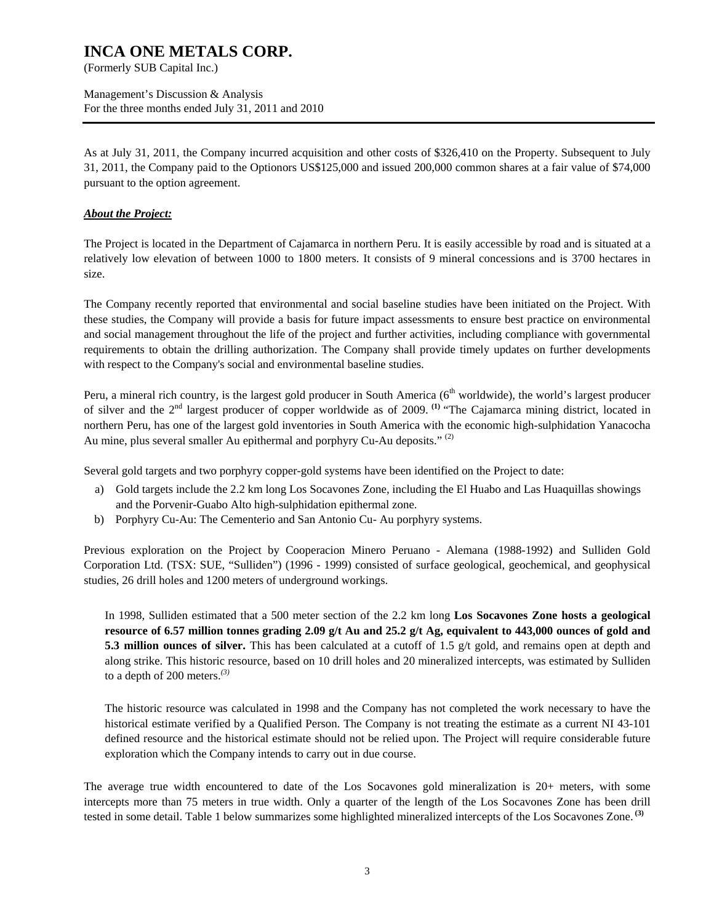(Formerly SUB Capital Inc.)

Management's Discussion & Analysis For the three months ended July 31, 2011 and 2010

As at July 31, 2011, the Company incurred acquisition and other costs of \$326,410 on the Property. Subsequent to July 31, 2011, the Company paid to the Optionors US\$125,000 and issued 200,000 common shares at a fair value of \$74,000 pursuant to the option agreement.

### *About the Project:*

The Project is located in the Department of Cajamarca in northern Peru. It is easily accessible by road and is situated at a relatively low elevation of between 1000 to 1800 meters. It consists of 9 mineral concessions and is 3700 hectares in size.

The Company recently reported that environmental and social baseline studies have been initiated on the Project. With these studies, the Company will provide a basis for future impact assessments to ensure best practice on environmental and social management throughout the life of the project and further activities, including compliance with governmental requirements to obtain the drilling authorization. The Company shall provide timely updates on further developments with respect to the Company's social and environmental baseline studies.

Peru, a mineral rich country, is the largest gold producer in South America ( $6<sup>th</sup>$  worldwide), the world's largest producer of silver and the 2nd largest producer of copper worldwide as of 2009. **(1)** "The Cajamarca mining district, located in northern Peru, has one of the largest gold inventories in South America with the economic high-sulphidation Yanacocha Au mine, plus several smaller Au epithermal and porphyry Cu-Au deposits."  $(2)$ 

Several gold targets and two porphyry copper-gold systems have been identified on the Project to date:

- a) Gold targets include the 2.2 km long Los Socavones Zone, including the El Huabo and Las Huaquillas showings and the Porvenir-Guabo Alto high-sulphidation epithermal zone.
- b) Porphyry Cu-Au: The Cementerio and San Antonio Cu- Au porphyry systems.

Previous exploration on the Project by Cooperacion Minero Peruano - Alemana (1988-1992) and Sulliden Gold Corporation Ltd. (TSX: SUE, "Sulliden") (1996 - 1999) consisted of surface geological, geochemical, and geophysical studies, 26 drill holes and 1200 meters of underground workings.

In 1998, Sulliden estimated that a 500 meter section of the 2.2 km long **Los Socavones Zone hosts a geological resource of 6.57 million tonnes grading 2.09 g/t Au and 25.2 g/t Ag, equivalent to 443,000 ounces of gold and 5.3 million ounces of silver.** This has been calculated at a cutoff of 1.5 g/t gold, and remains open at depth and along strike. This historic resource, based on 10 drill holes and 20 mineralized intercepts, was estimated by Sulliden to a depth of 200 meters.*(3)* 

The historic resource was calculated in 1998 and the Company has not completed the work necessary to have the historical estimate verified by a Qualified Person. The Company is not treating the estimate as a current NI 43-101 defined resource and the historical estimate should not be relied upon. The Project will require considerable future exploration which the Company intends to carry out in due course.

The average true width encountered to date of the Los Socavones gold mineralization is 20+ meters, with some intercepts more than 75 meters in true width. Only a quarter of the length of the Los Socavones Zone has been drill tested in some detail. Table 1 below summarizes some highlighted mineralized intercepts of the Los Socavones Zone. **(3)**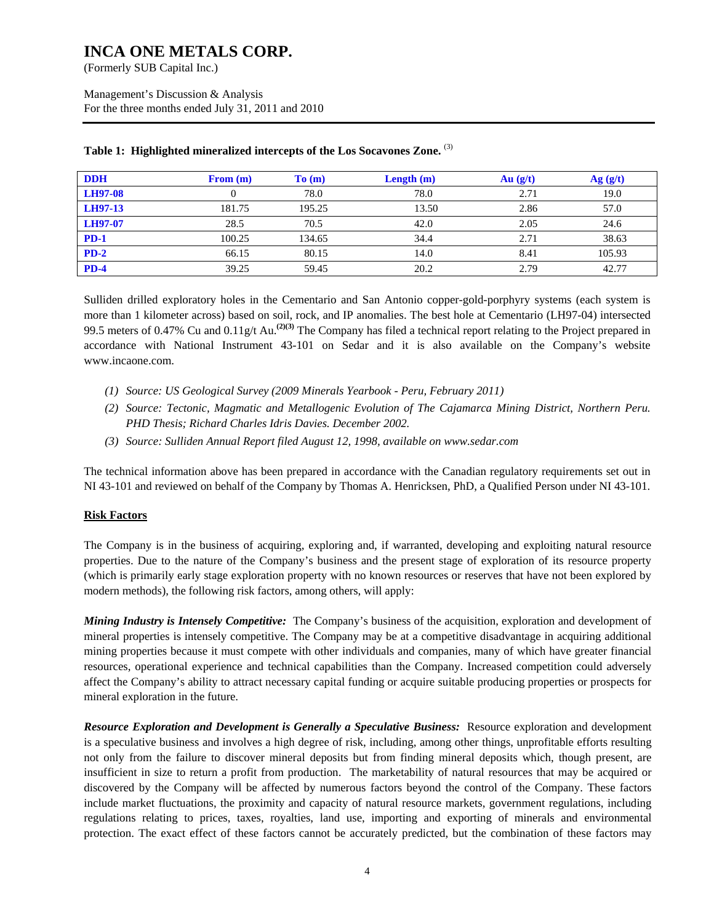(Formerly SUB Capital Inc.)

| Management's Discussion & Analysis                |
|---------------------------------------------------|
| For the three months ended July 31, 2011 and 2010 |

| <b>DDH</b>     | From (m) | To(m)  | Length $(m)$ | Au(g/t) | Ag(g/t) |
|----------------|----------|--------|--------------|---------|---------|
| <b>LH97-08</b> |          | 78.0   | 78.0         | 2.71    | 19.0    |
| <b>LH97-13</b> | 181.75   | 195.25 | 13.50        | 2.86    | 57.0    |
| LH97-07        | 28.5     | 70.5   | 42.0         | 2.05    | 24.6    |
| $PD-1$         | 100.25   | 134.65 | 34.4         | 2.71    | 38.63   |
| $PD-2$         | 66.15    | 80.15  | 14.0         | 8.41    | 105.93  |
| $PD-4$         | 39.25    | 59.45  | 20.2         | 2.79    | 42.77   |

#### **Table 1: Highlighted mineralized intercepts of the Los Socavones Zone.** (3)

Sulliden drilled exploratory holes in the Cementario and San Antonio copper-gold-porphyry systems (each system is more than 1 kilometer across) based on soil, rock, and IP anomalies. The best hole at Cementario (LH97-04) intersected 99.5 meters of 0.47% Cu and 0.11g/t Au.**(2)(3)** The Company has filed a technical report relating to the Project prepared in accordance with National Instrument 43-101 on Sedar and it is also available on the Company's website www.incaone.com.

- *(1) Source: US Geological Survey (2009 Minerals Yearbook Peru, February 2011)*
- *(2) Source: Tectonic, Magmatic and Metallogenic Evolution of The Cajamarca Mining District, Northern Peru. PHD Thesis; Richard Charles Idris Davies. December 2002.*
- *(3) Source: Sulliden Annual Report filed August 12, 1998, available on www.sedar.com*

The technical information above has been prepared in accordance with the Canadian regulatory requirements set out in NI 43-101 and reviewed on behalf of the Company by Thomas A. Henricksen, PhD, a Qualified Person under NI 43-101.

### **Risk Factors**

The Company is in the business of acquiring, exploring and, if warranted, developing and exploiting natural resource properties. Due to the nature of the Company's business and the present stage of exploration of its resource property (which is primarily early stage exploration property with no known resources or reserves that have not been explored by modern methods), the following risk factors, among others, will apply:

*Mining Industry is Intensely Competitive:* The Company's business of the acquisition, exploration and development of mineral properties is intensely competitive. The Company may be at a competitive disadvantage in acquiring additional mining properties because it must compete with other individuals and companies, many of which have greater financial resources, operational experience and technical capabilities than the Company. Increased competition could adversely affect the Company's ability to attract necessary capital funding or acquire suitable producing properties or prospects for mineral exploration in the future.

*Resource Exploration and Development is Generally a Speculative Business:* Resource exploration and development is a speculative business and involves a high degree of risk, including, among other things, unprofitable efforts resulting not only from the failure to discover mineral deposits but from finding mineral deposits which, though present, are insufficient in size to return a profit from production. The marketability of natural resources that may be acquired or discovered by the Company will be affected by numerous factors beyond the control of the Company. These factors include market fluctuations, the proximity and capacity of natural resource markets, government regulations, including regulations relating to prices, taxes, royalties, land use, importing and exporting of minerals and environmental protection. The exact effect of these factors cannot be accurately predicted, but the combination of these factors may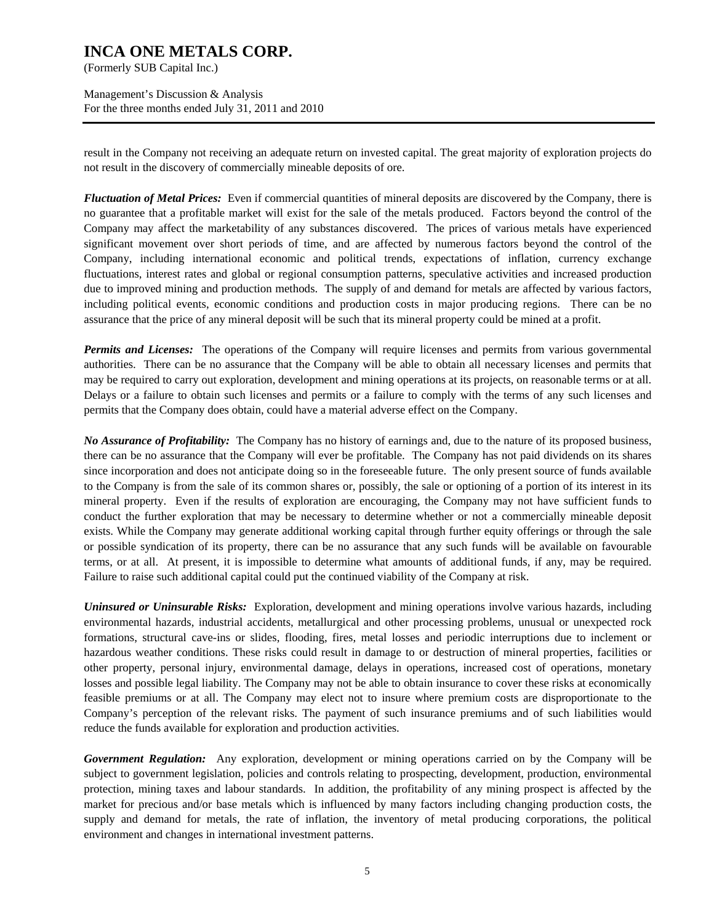(Formerly SUB Capital Inc.)

Management's Discussion & Analysis For the three months ended July 31, 2011 and 2010

result in the Company not receiving an adequate return on invested capital. The great majority of exploration projects do not result in the discovery of commercially mineable deposits of ore.

*Fluctuation of Metal Prices:* Even if commercial quantities of mineral deposits are discovered by the Company, there is no guarantee that a profitable market will exist for the sale of the metals produced. Factors beyond the control of the Company may affect the marketability of any substances discovered. The prices of various metals have experienced significant movement over short periods of time, and are affected by numerous factors beyond the control of the Company, including international economic and political trends, expectations of inflation, currency exchange fluctuations, interest rates and global or regional consumption patterns, speculative activities and increased production due to improved mining and production methods. The supply of and demand for metals are affected by various factors, including political events, economic conditions and production costs in major producing regions. There can be no assurance that the price of any mineral deposit will be such that its mineral property could be mined at a profit.

*Permits and Licenses:* The operations of the Company will require licenses and permits from various governmental authorities. There can be no assurance that the Company will be able to obtain all necessary licenses and permits that may be required to carry out exploration, development and mining operations at its projects, on reasonable terms or at all. Delays or a failure to obtain such licenses and permits or a failure to comply with the terms of any such licenses and permits that the Company does obtain, could have a material adverse effect on the Company.

*No Assurance of Profitability:* The Company has no history of earnings and, due to the nature of its proposed business, there can be no assurance that the Company will ever be profitable. The Company has not paid dividends on its shares since incorporation and does not anticipate doing so in the foreseeable future. The only present source of funds available to the Company is from the sale of its common shares or, possibly, the sale or optioning of a portion of its interest in its mineral property. Even if the results of exploration are encouraging, the Company may not have sufficient funds to conduct the further exploration that may be necessary to determine whether or not a commercially mineable deposit exists. While the Company may generate additional working capital through further equity offerings or through the sale or possible syndication of its property, there can be no assurance that any such funds will be available on favourable terms, or at all. At present, it is impossible to determine what amounts of additional funds, if any, may be required. Failure to raise such additional capital could put the continued viability of the Company at risk.

*Uninsured or Uninsurable Risks:* Exploration, development and mining operations involve various hazards, including environmental hazards, industrial accidents, metallurgical and other processing problems, unusual or unexpected rock formations, structural cave-ins or slides, flooding, fires, metal losses and periodic interruptions due to inclement or hazardous weather conditions. These risks could result in damage to or destruction of mineral properties, facilities or other property, personal injury, environmental damage, delays in operations, increased cost of operations, monetary losses and possible legal liability. The Company may not be able to obtain insurance to cover these risks at economically feasible premiums or at all. The Company may elect not to insure where premium costs are disproportionate to the Company's perception of the relevant risks. The payment of such insurance premiums and of such liabilities would reduce the funds available for exploration and production activities.

*Government Regulation:* Any exploration, development or mining operations carried on by the Company will be subject to government legislation, policies and controls relating to prospecting, development, production, environmental protection, mining taxes and labour standards. In addition, the profitability of any mining prospect is affected by the market for precious and/or base metals which is influenced by many factors including changing production costs, the supply and demand for metals, the rate of inflation, the inventory of metal producing corporations, the political environment and changes in international investment patterns.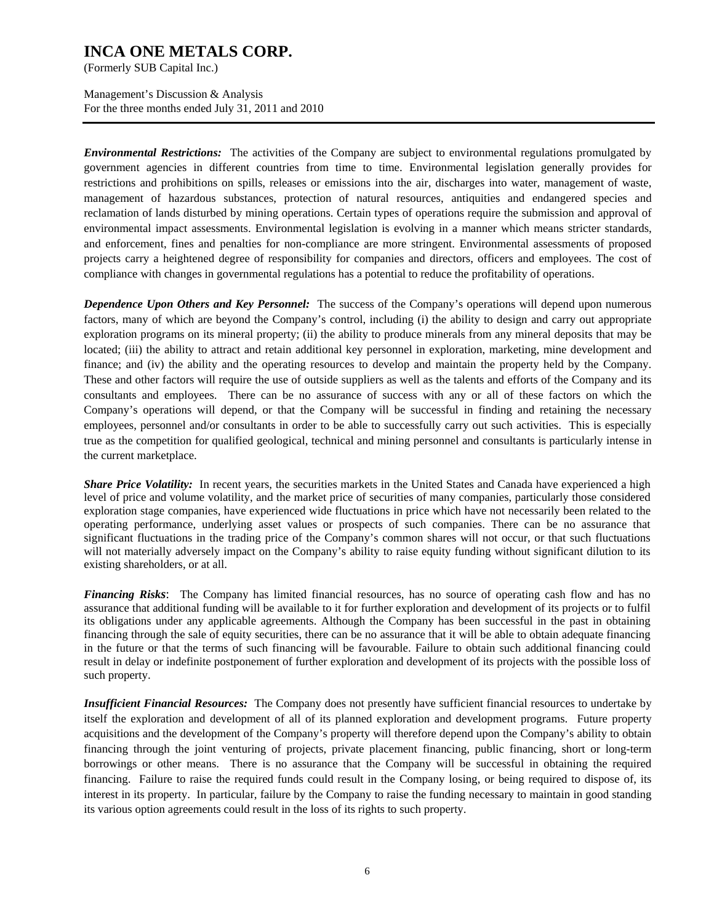(Formerly SUB Capital Inc.)

Management's Discussion & Analysis For the three months ended July 31, 2011 and 2010

*Environmental Restrictions:* The activities of the Company are subject to environmental regulations promulgated by government agencies in different countries from time to time. Environmental legislation generally provides for restrictions and prohibitions on spills, releases or emissions into the air, discharges into water, management of waste, management of hazardous substances, protection of natural resources, antiquities and endangered species and reclamation of lands disturbed by mining operations. Certain types of operations require the submission and approval of environmental impact assessments. Environmental legislation is evolving in a manner which means stricter standards, and enforcement, fines and penalties for non-compliance are more stringent. Environmental assessments of proposed projects carry a heightened degree of responsibility for companies and directors, officers and employees. The cost of compliance with changes in governmental regulations has a potential to reduce the profitability of operations.

*Dependence Upon Others and Key Personnel:* The success of the Company's operations will depend upon numerous factors, many of which are beyond the Company's control, including (i) the ability to design and carry out appropriate exploration programs on its mineral property; (ii) the ability to produce minerals from any mineral deposits that may be located; (iii) the ability to attract and retain additional key personnel in exploration, marketing, mine development and finance; and (iv) the ability and the operating resources to develop and maintain the property held by the Company. These and other factors will require the use of outside suppliers as well as the talents and efforts of the Company and its consultants and employees. There can be no assurance of success with any or all of these factors on which the Company's operations will depend, or that the Company will be successful in finding and retaining the necessary employees, personnel and/or consultants in order to be able to successfully carry out such activities. This is especially true as the competition for qualified geological, technical and mining personnel and consultants is particularly intense in the current marketplace.

*Share Price Volatility:* In recent years, the securities markets in the United States and Canada have experienced a high level of price and volume volatility, and the market price of securities of many companies, particularly those considered exploration stage companies, have experienced wide fluctuations in price which have not necessarily been related to the operating performance, underlying asset values or prospects of such companies. There can be no assurance that significant fluctuations in the trading price of the Company's common shares will not occur, or that such fluctuations will not materially adversely impact on the Company's ability to raise equity funding without significant dilution to its existing shareholders, or at all.

*Financing Risks*: The Company has limited financial resources, has no source of operating cash flow and has no assurance that additional funding will be available to it for further exploration and development of its projects or to fulfil its obligations under any applicable agreements. Although the Company has been successful in the past in obtaining financing through the sale of equity securities, there can be no assurance that it will be able to obtain adequate financing in the future or that the terms of such financing will be favourable. Failure to obtain such additional financing could result in delay or indefinite postponement of further exploration and development of its projects with the possible loss of such property.

*Insufficient Financial Resources:* The Company does not presently have sufficient financial resources to undertake by itself the exploration and development of all of its planned exploration and development programs. Future property acquisitions and the development of the Company's property will therefore depend upon the Company's ability to obtain financing through the joint venturing of projects, private placement financing, public financing, short or long-term borrowings or other means. There is no assurance that the Company will be successful in obtaining the required financing. Failure to raise the required funds could result in the Company losing, or being required to dispose of, its interest in its property. In particular, failure by the Company to raise the funding necessary to maintain in good standing its various option agreements could result in the loss of its rights to such property.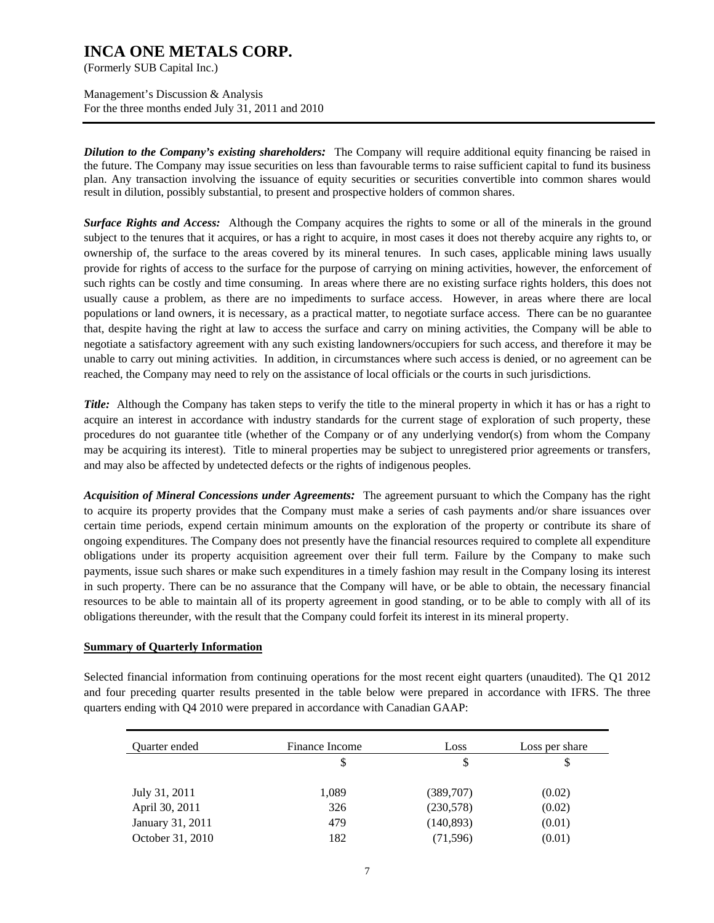(Formerly SUB Capital Inc.)

Management's Discussion & Analysis For the three months ended July 31, 2011 and 2010

*Dilution to the Company's existing shareholders:* The Company will require additional equity financing be raised in the future. The Company may issue securities on less than favourable terms to raise sufficient capital to fund its business plan. Any transaction involving the issuance of equity securities or securities convertible into common shares would result in dilution, possibly substantial, to present and prospective holders of common shares.

*Surface Rights and Access:* Although the Company acquires the rights to some or all of the minerals in the ground subject to the tenures that it acquires, or has a right to acquire, in most cases it does not thereby acquire any rights to, or ownership of, the surface to the areas covered by its mineral tenures. In such cases, applicable mining laws usually provide for rights of access to the surface for the purpose of carrying on mining activities, however, the enforcement of such rights can be costly and time consuming. In areas where there are no existing surface rights holders, this does not usually cause a problem, as there are no impediments to surface access. However, in areas where there are local populations or land owners, it is necessary, as a practical matter, to negotiate surface access. There can be no guarantee that, despite having the right at law to access the surface and carry on mining activities, the Company will be able to negotiate a satisfactory agreement with any such existing landowners/occupiers for such access, and therefore it may be unable to carry out mining activities. In addition, in circumstances where such access is denied, or no agreement can be reached, the Company may need to rely on the assistance of local officials or the courts in such jurisdictions.

*Title:* Although the Company has taken steps to verify the title to the mineral property in which it has or has a right to acquire an interest in accordance with industry standards for the current stage of exploration of such property, these procedures do not guarantee title (whether of the Company or of any underlying vendor(s) from whom the Company may be acquiring its interest). Title to mineral properties may be subject to unregistered prior agreements or transfers, and may also be affected by undetected defects or the rights of indigenous peoples.

*Acquisition of Mineral Concessions under Agreements:* The agreement pursuant to which the Company has the right to acquire its property provides that the Company must make a series of cash payments and/or share issuances over certain time periods, expend certain minimum amounts on the exploration of the property or contribute its share of ongoing expenditures. The Company does not presently have the financial resources required to complete all expenditure obligations under its property acquisition agreement over their full term. Failure by the Company to make such payments, issue such shares or make such expenditures in a timely fashion may result in the Company losing its interest in such property. There can be no assurance that the Company will have, or be able to obtain, the necessary financial resources to be able to maintain all of its property agreement in good standing, or to be able to comply with all of its obligations thereunder, with the result that the Company could forfeit its interest in its mineral property.

#### **Summary of Quarterly Information**

Selected financial information from continuing operations for the most recent eight quarters (unaudited). The Q1 2012 and four preceding quarter results presented in the table below were prepared in accordance with IFRS. The three quarters ending with Q4 2010 were prepared in accordance with Canadian GAAP:

| Quarter ended    | Finance Income |            | Loss per share |
|------------------|----------------|------------|----------------|
|                  | \$             | S          | \$             |
| July 31, 2011    | 1,089          | (389, 707) | (0.02)         |
| April 30, 2011   | 326            | (230,578)  | (0.02)         |
| January 31, 2011 | 479            | (140, 893) | (0.01)         |
| October 31, 2010 | 182            | (71, 596)  | (0.01)         |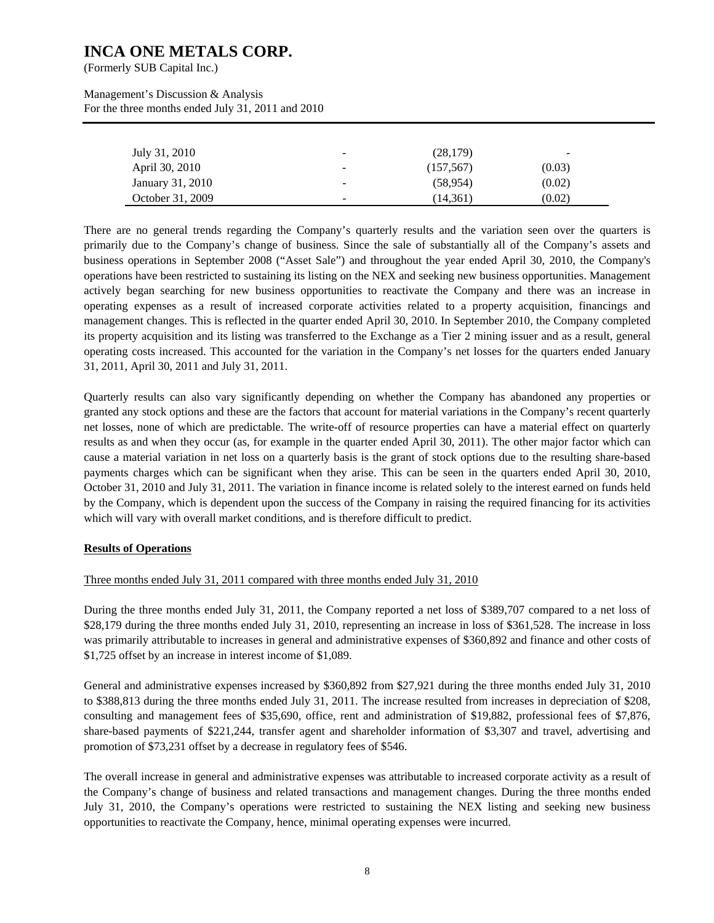(Formerly SUB Capital Inc.)

| Management's Discussion & Analysis                |
|---------------------------------------------------|
| For the three months ended July 31, 2011 and 2010 |

| July 31, 2010    | $\overline{\phantom{0}}$ | (28, 179)  | -      |
|------------------|--------------------------|------------|--------|
| April 30, 2010   | $\overline{\phantom{0}}$ | (157, 567) | (0.03) |
| January 31, 2010 | $\overline{\phantom{a}}$ | (58, 954)  | (0.02) |
| October 31, 2009 | $\overline{\phantom{0}}$ | (14,361)   | (0.02) |

There are no general trends regarding the Company's quarterly results and the variation seen over the quarters is primarily due to the Company's change of business. Since the sale of substantially all of the Company's assets and business operations in September 2008 ("Asset Sale") and throughout the year ended April 30, 2010, the Company's operations have been restricted to sustaining its listing on the NEX and seeking new business opportunities. Management actively began searching for new business opportunities to reactivate the Company and there was an increase in operating expenses as a result of increased corporate activities related to a property acquisition, financings and management changes. This is reflected in the quarter ended April 30, 2010. In September 2010, the Company completed its property acquisition and its listing was transferred to the Exchange as a Tier 2 mining issuer and as a result, general operating costs increased. This accounted for the variation in the Company's net losses for the quarters ended January 31, 2011, April 30, 2011 and July 31, 2011.

Quarterly results can also vary significantly depending on whether the Company has abandoned any properties or granted any stock options and these are the factors that account for material variations in the Company's recent quarterly net losses, none of which are predictable. The write-off of resource properties can have a material effect on quarterly results as and when they occur (as, for example in the quarter ended April 30, 2011). The other major factor which can cause a material variation in net loss on a quarterly basis is the grant of stock options due to the resulting share-based payments charges which can be significant when they arise. This can be seen in the quarters ended April 30, 2010, October 31, 2010 and July 31, 2011. The variation in finance income is related solely to the interest earned on funds held by the Company, which is dependent upon the success of the Company in raising the required financing for its activities which will vary with overall market conditions, and is therefore difficult to predict.

### **Results of Operations**

#### Three months ended July 31, 2011 compared with three months ended July 31, 2010

During the three months ended July 31, 2011, the Company reported a net loss of \$389,707 compared to a net loss of \$28,179 during the three months ended July 31, 2010, representing an increase in loss of \$361,528. The increase in loss was primarily attributable to increases in general and administrative expenses of \$360,892 and finance and other costs of \$1,725 offset by an increase in interest income of \$1,089.

General and administrative expenses increased by \$360,892 from \$27,921 during the three months ended July 31, 2010 to \$388,813 during the three months ended July 31, 2011. The increase resulted from increases in depreciation of \$208, consulting and management fees of \$35,690, office, rent and administration of \$19,882, professional fees of \$7,876, share-based payments of \$221,244, transfer agent and shareholder information of \$3,307 and travel, advertising and promotion of \$73,231 offset by a decrease in regulatory fees of \$546.

The overall increase in general and administrative expenses was attributable to increased corporate activity as a result of the Company's change of business and related transactions and management changes. During the three months ended July 31, 2010, the Company's operations were restricted to sustaining the NEX listing and seeking new business opportunities to reactivate the Company, hence, minimal operating expenses were incurred.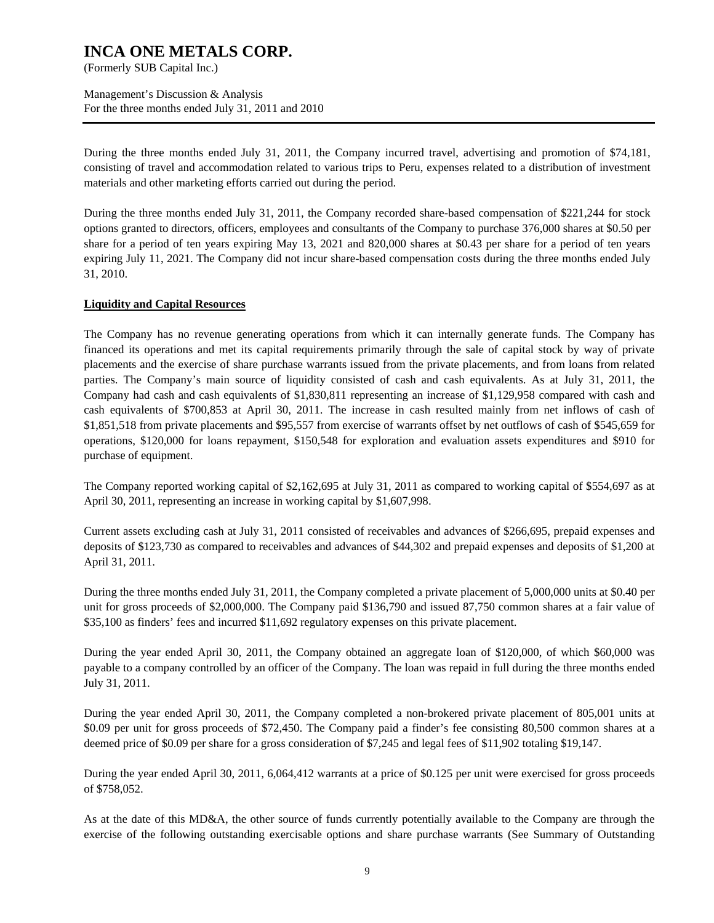(Formerly SUB Capital Inc.)

Management's Discussion & Analysis For the three months ended July 31, 2011 and 2010

During the three months ended July 31, 2011, the Company incurred travel, advertising and promotion of \$74,181, consisting of travel and accommodation related to various trips to Peru, expenses related to a distribution of investment materials and other marketing efforts carried out during the period.

During the three months ended July 31, 2011, the Company recorded share-based compensation of \$221,244 for stock options granted to directors, officers, employees and consultants of the Company to purchase 376,000 shares at \$0.50 per share for a period of ten years expiring May 13, 2021 and 820,000 shares at \$0.43 per share for a period of ten years expiring July 11, 2021. The Company did not incur share-based compensation costs during the three months ended July 31, 2010.

### **Liquidity and Capital Resources**

The Company has no revenue generating operations from which it can internally generate funds. The Company has financed its operations and met its capital requirements primarily through the sale of capital stock by way of private placements and the exercise of share purchase warrants issued from the private placements, and from loans from related parties. The Company's main source of liquidity consisted of cash and cash equivalents. As at July 31, 2011, the Company had cash and cash equivalents of \$1,830,811 representing an increase of \$1,129,958 compared with cash and cash equivalents of \$700,853 at April 30, 2011. The increase in cash resulted mainly from net inflows of cash of \$1,851,518 from private placements and \$95,557 from exercise of warrants offset by net outflows of cash of \$545,659 for operations, \$120,000 for loans repayment, \$150,548 for exploration and evaluation assets expenditures and \$910 for purchase of equipment.

The Company reported working capital of \$2,162,695 at July 31, 2011 as compared to working capital of \$554,697 as at April 30, 2011, representing an increase in working capital by \$1,607,998.

Current assets excluding cash at July 31, 2011 consisted of receivables and advances of \$266,695, prepaid expenses and deposits of \$123,730 as compared to receivables and advances of \$44,302 and prepaid expenses and deposits of \$1,200 at April 31, 2011.

During the three months ended July 31, 2011, the Company completed a private placement of 5,000,000 units at \$0.40 per unit for gross proceeds of \$2,000,000. The Company paid \$136,790 and issued 87,750 common shares at a fair value of \$35,100 as finders' fees and incurred \$11,692 regulatory expenses on this private placement.

During the year ended April 30, 2011, the Company obtained an aggregate loan of \$120,000, of which \$60,000 was payable to a company controlled by an officer of the Company. The loan was repaid in full during the three months ended July 31, 2011.

During the year ended April 30, 2011, the Company completed a non-brokered private placement of 805,001 units at \$0.09 per unit for gross proceeds of \$72,450. The Company paid a finder's fee consisting 80,500 common shares at a deemed price of \$0.09 per share for a gross consideration of \$7,245 and legal fees of \$11,902 totaling \$19,147.

During the year ended April 30, 2011, 6,064,412 warrants at a price of \$0.125 per unit were exercised for gross proceeds of \$758,052.

As at the date of this MD&A, the other source of funds currently potentially available to the Company are through the exercise of the following outstanding exercisable options and share purchase warrants (See Summary of Outstanding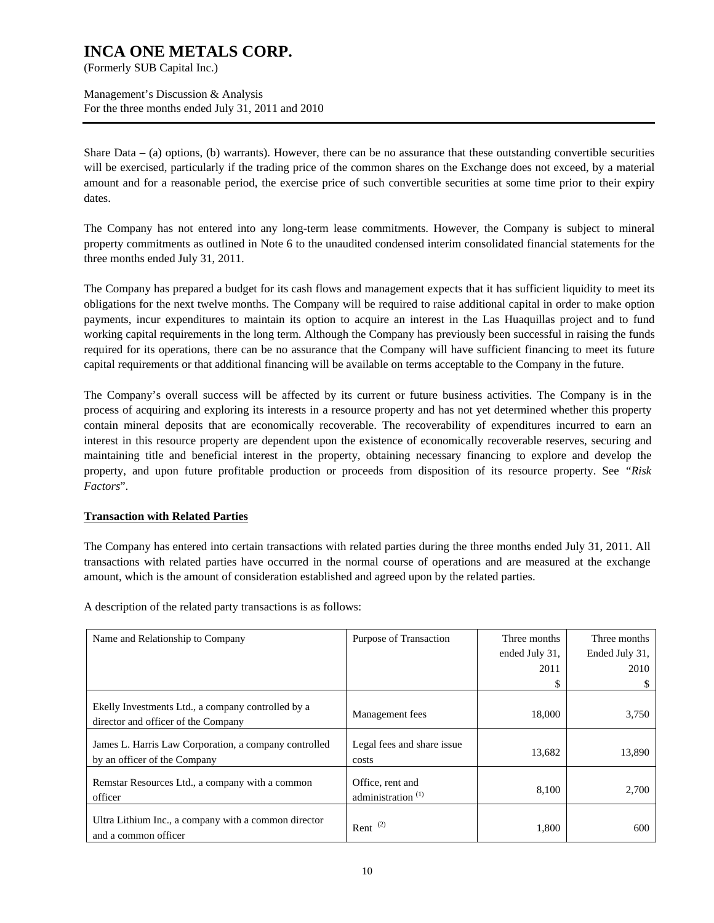(Formerly SUB Capital Inc.)

Management's Discussion & Analysis For the three months ended July 31, 2011 and 2010

Share Data  $-$  (a) options, (b) warrants). However, there can be no assurance that these outstanding convertible securities will be exercised, particularly if the trading price of the common shares on the Exchange does not exceed, by a material amount and for a reasonable period, the exercise price of such convertible securities at some time prior to their expiry dates.

The Company has not entered into any long-term lease commitments. However, the Company is subject to mineral property commitments as outlined in Note 6 to the unaudited condensed interim consolidated financial statements for the three months ended July 31, 2011.

The Company has prepared a budget for its cash flows and management expects that it has sufficient liquidity to meet its obligations for the next twelve months. The Company will be required to raise additional capital in order to make option payments, incur expenditures to maintain its option to acquire an interest in the Las Huaquillas project and to fund working capital requirements in the long term. Although the Company has previously been successful in raising the funds required for its operations, there can be no assurance that the Company will have sufficient financing to meet its future capital requirements or that additional financing will be available on terms acceptable to the Company in the future.

The Company's overall success will be affected by its current or future business activities. The Company is in the process of acquiring and exploring its interests in a resource property and has not yet determined whether this property contain mineral deposits that are economically recoverable. The recoverability of expenditures incurred to earn an interest in this resource property are dependent upon the existence of economically recoverable reserves, securing and maintaining title and beneficial interest in the property, obtaining necessary financing to explore and develop the property, and upon future profitable production or proceeds from disposition of its resource property. See *"Risk Factors*".

### **Transaction with Related Parties**

The Company has entered into certain transactions with related parties during the three months ended July 31, 2011. All transactions with related parties have occurred in the normal course of operations and are measured at the exchange amount, which is the amount of consideration established and agreed upon by the related parties.

Name and Relationship to Company Purpose of Transaction Three months ended July 31, 2011 Three months Ended July 31, 2010  $\sim$  \$ \$ Ekelly Investments Ltd., a company controlled by a director and officer of the Company Management fees 18,000 3,750 James L. Harris Law Corporation, a company controlled by an officer of the Company Legal fees and share issue costs 13,682 13,890 Remstar Resources Ltd., a company with a common officer Office, rent and administration (1) 8,100  $\left| \frac{8,100}{2,700} \right|$ Ultra Lithium Inc., a company with a common director and a common officer Rent  $^{(2)}$  1,800 600

A description of the related party transactions is as follows: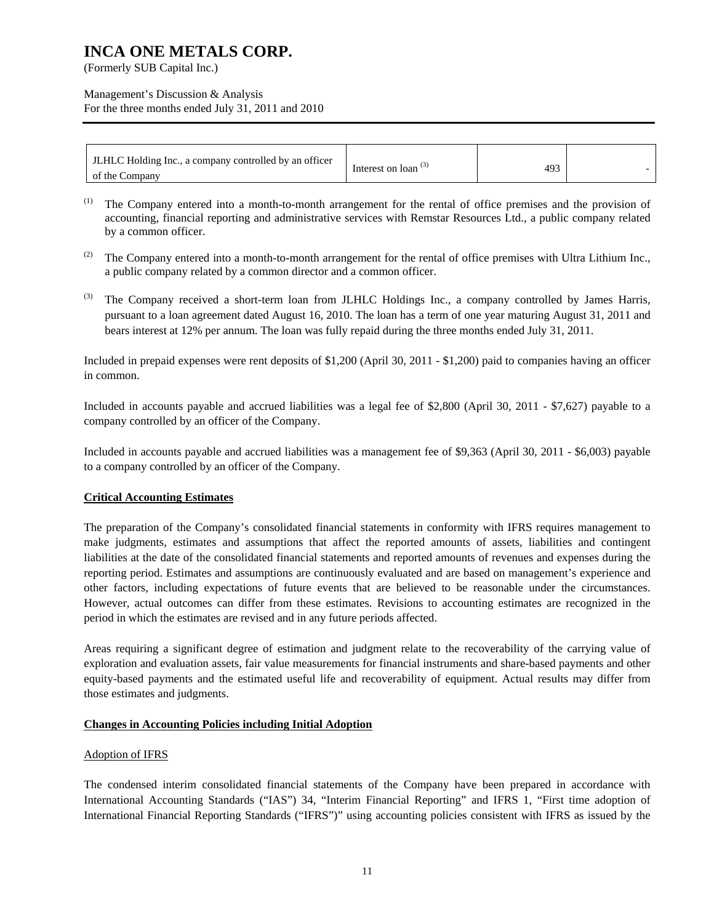(Formerly SUB Capital Inc.)

Management's Discussion & Analysis For the three months ended July 31, 2011 and 2010

| JLHLC Holding Inc., a company controlled by an officer | Interest on $\alpha$ loan $(3)$ | 49? |  |
|--------------------------------------------------------|---------------------------------|-----|--|
| of the Company                                         |                                 |     |  |

- (1) The Company entered into a month-to-month arrangement for the rental of office premises and the provision of accounting, financial reporting and administrative services with Remstar Resources Ltd., a public company related by a common officer.
- <sup>(2)</sup> The Company entered into a month-to-month arrangement for the rental of office premises with Ultra Lithium Inc., a public company related by a common director and a common officer.
- <sup>(3)</sup> The Company received a short-term loan from JLHLC Holdings Inc., a company controlled by James Harris, pursuant to a loan agreement dated August 16, 2010. The loan has a term of one year maturing August 31, 2011 and bears interest at 12% per annum. The loan was fully repaid during the three months ended July 31, 2011.

Included in prepaid expenses were rent deposits of \$1,200 (April 30, 2011 - \$1,200) paid to companies having an officer in common.

Included in accounts payable and accrued liabilities was a legal fee of \$2,800 (April 30, 2011 - \$7,627) payable to a company controlled by an officer of the Company.

Included in accounts payable and accrued liabilities was a management fee of \$9,363 (April 30, 2011 - \$6,003) payable to a company controlled by an officer of the Company.

### **Critical Accounting Estimates**

The preparation of the Company's consolidated financial statements in conformity with IFRS requires management to make judgments, estimates and assumptions that affect the reported amounts of assets, liabilities and contingent liabilities at the date of the consolidated financial statements and reported amounts of revenues and expenses during the reporting period. Estimates and assumptions are continuously evaluated and are based on management's experience and other factors, including expectations of future events that are believed to be reasonable under the circumstances. However, actual outcomes can differ from these estimates. Revisions to accounting estimates are recognized in the period in which the estimates are revised and in any future periods affected.

Areas requiring a significant degree of estimation and judgment relate to the recoverability of the carrying value of exploration and evaluation assets, fair value measurements for financial instruments and share-based payments and other equity-based payments and the estimated useful life and recoverability of equipment. Actual results may differ from those estimates and judgments.

#### **Changes in Accounting Policies including Initial Adoption**

#### Adoption of IFRS

The condensed interim consolidated financial statements of the Company have been prepared in accordance with International Accounting Standards ("IAS") 34, "Interim Financial Reporting" and IFRS 1, "First time adoption of International Financial Reporting Standards ("IFRS")" using accounting policies consistent with IFRS as issued by the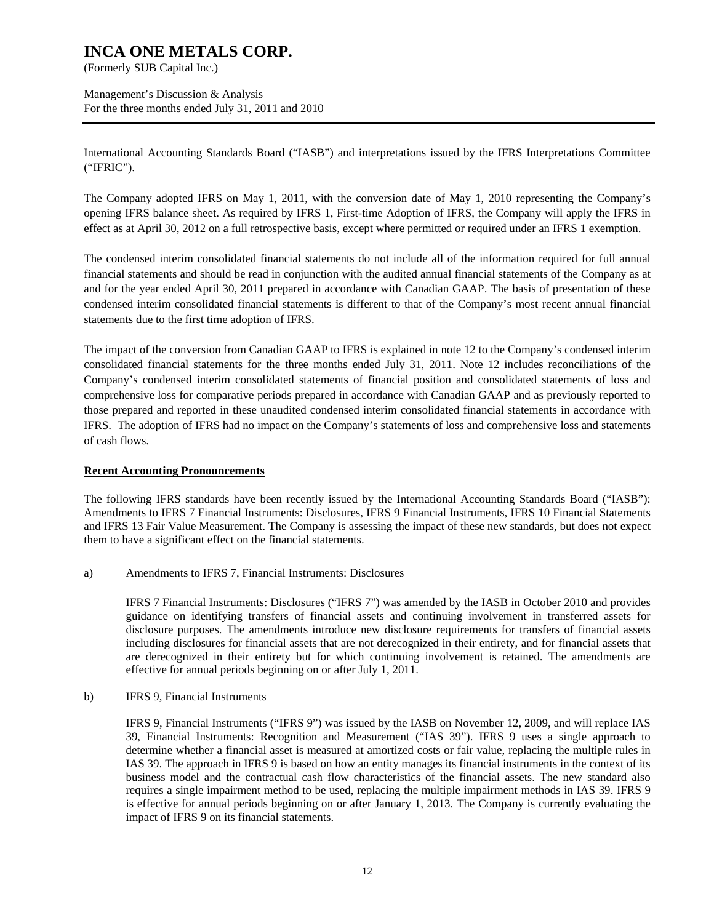(Formerly SUB Capital Inc.)

Management's Discussion & Analysis For the three months ended July 31, 2011 and 2010

International Accounting Standards Board ("IASB") and interpretations issued by the IFRS Interpretations Committee ("IFRIC").

The Company adopted IFRS on May 1, 2011, with the conversion date of May 1, 2010 representing the Company's opening IFRS balance sheet. As required by IFRS 1, First-time Adoption of IFRS, the Company will apply the IFRS in effect as at April 30, 2012 on a full retrospective basis, except where permitted or required under an IFRS 1 exemption.

The condensed interim consolidated financial statements do not include all of the information required for full annual financial statements and should be read in conjunction with the audited annual financial statements of the Company as at and for the year ended April 30, 2011 prepared in accordance with Canadian GAAP. The basis of presentation of these condensed interim consolidated financial statements is different to that of the Company's most recent annual financial statements due to the first time adoption of IFRS.

The impact of the conversion from Canadian GAAP to IFRS is explained in note 12 to the Company's condensed interim consolidated financial statements for the three months ended July 31, 2011. Note 12 includes reconciliations of the Company's condensed interim consolidated statements of financial position and consolidated statements of loss and comprehensive loss for comparative periods prepared in accordance with Canadian GAAP and as previously reported to those prepared and reported in these unaudited condensed interim consolidated financial statements in accordance with IFRS. The adoption of IFRS had no impact on the Company's statements of loss and comprehensive loss and statements of cash flows.

#### **Recent Accounting Pronouncements**

The following IFRS standards have been recently issued by the International Accounting Standards Board ("IASB"): Amendments to IFRS 7 Financial Instruments: Disclosures, IFRS 9 Financial Instruments, IFRS 10 Financial Statements and IFRS 13 Fair Value Measurement. The Company is assessing the impact of these new standards, but does not expect them to have a significant effect on the financial statements.

a) Amendments to IFRS 7, Financial Instruments: Disclosures

IFRS 7 Financial Instruments: Disclosures ("IFRS 7") was amended by the IASB in October 2010 and provides guidance on identifying transfers of financial assets and continuing involvement in transferred assets for disclosure purposes. The amendments introduce new disclosure requirements for transfers of financial assets including disclosures for financial assets that are not derecognized in their entirety, and for financial assets that are derecognized in their entirety but for which continuing involvement is retained. The amendments are effective for annual periods beginning on or after July 1, 2011.

b) IFRS 9, Financial Instruments

IFRS 9, Financial Instruments ("IFRS 9") was issued by the IASB on November 12, 2009, and will replace IAS 39, Financial Instruments: Recognition and Measurement ("IAS 39"). IFRS 9 uses a single approach to determine whether a financial asset is measured at amortized costs or fair value, replacing the multiple rules in IAS 39. The approach in IFRS 9 is based on how an entity manages its financial instruments in the context of its business model and the contractual cash flow characteristics of the financial assets. The new standard also requires a single impairment method to be used, replacing the multiple impairment methods in IAS 39. IFRS 9 is effective for annual periods beginning on or after January 1, 2013. The Company is currently evaluating the impact of IFRS 9 on its financial statements.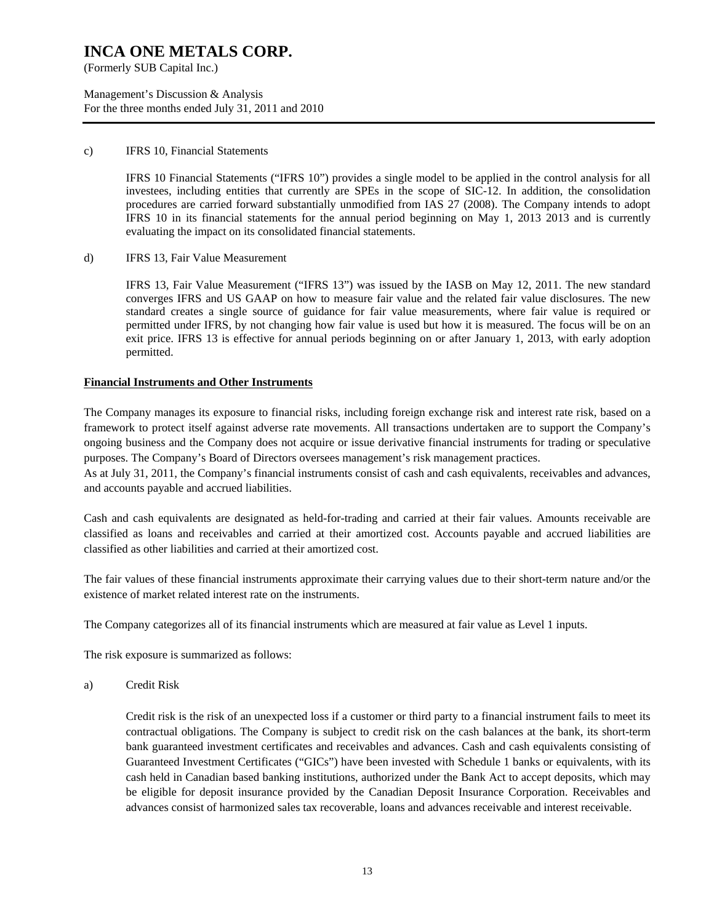(Formerly SUB Capital Inc.)

Management's Discussion & Analysis For the three months ended July 31, 2011 and 2010

#### c) IFRS 10, Financial Statements

IFRS 10 Financial Statements ("IFRS 10") provides a single model to be applied in the control analysis for all investees, including entities that currently are SPEs in the scope of SIC-12. In addition, the consolidation procedures are carried forward substantially unmodified from IAS 27 (2008). The Company intends to adopt IFRS 10 in its financial statements for the annual period beginning on May 1, 2013 2013 and is currently evaluating the impact on its consolidated financial statements.

d) IFRS 13, Fair Value Measurement

IFRS 13, Fair Value Measurement ("IFRS 13") was issued by the IASB on May 12, 2011. The new standard converges IFRS and US GAAP on how to measure fair value and the related fair value disclosures. The new standard creates a single source of guidance for fair value measurements, where fair value is required or permitted under IFRS, by not changing how fair value is used but how it is measured. The focus will be on an exit price. IFRS 13 is effective for annual periods beginning on or after January 1, 2013, with early adoption permitted.

#### **Financial Instruments and Other Instruments**

The Company manages its exposure to financial risks, including foreign exchange risk and interest rate risk, based on a framework to protect itself against adverse rate movements. All transactions undertaken are to support the Company's ongoing business and the Company does not acquire or issue derivative financial instruments for trading or speculative purposes. The Company's Board of Directors oversees management's risk management practices.

As at July 31, 2011, the Company's financial instruments consist of cash and cash equivalents, receivables and advances, and accounts payable and accrued liabilities.

Cash and cash equivalents are designated as held-for-trading and carried at their fair values. Amounts receivable are classified as loans and receivables and carried at their amortized cost. Accounts payable and accrued liabilities are classified as other liabilities and carried at their amortized cost.

The fair values of these financial instruments approximate their carrying values due to their short-term nature and/or the existence of market related interest rate on the instruments.

The Company categorizes all of its financial instruments which are measured at fair value as Level 1 inputs.

The risk exposure is summarized as follows:

a) Credit Risk

Credit risk is the risk of an unexpected loss if a customer or third party to a financial instrument fails to meet its contractual obligations. The Company is subject to credit risk on the cash balances at the bank, its short-term bank guaranteed investment certificates and receivables and advances. Cash and cash equivalents consisting of Guaranteed Investment Certificates ("GICs") have been invested with Schedule 1 banks or equivalents, with its cash held in Canadian based banking institutions, authorized under the Bank Act to accept deposits, which may be eligible for deposit insurance provided by the Canadian Deposit Insurance Corporation. Receivables and advances consist of harmonized sales tax recoverable, loans and advances receivable and interest receivable.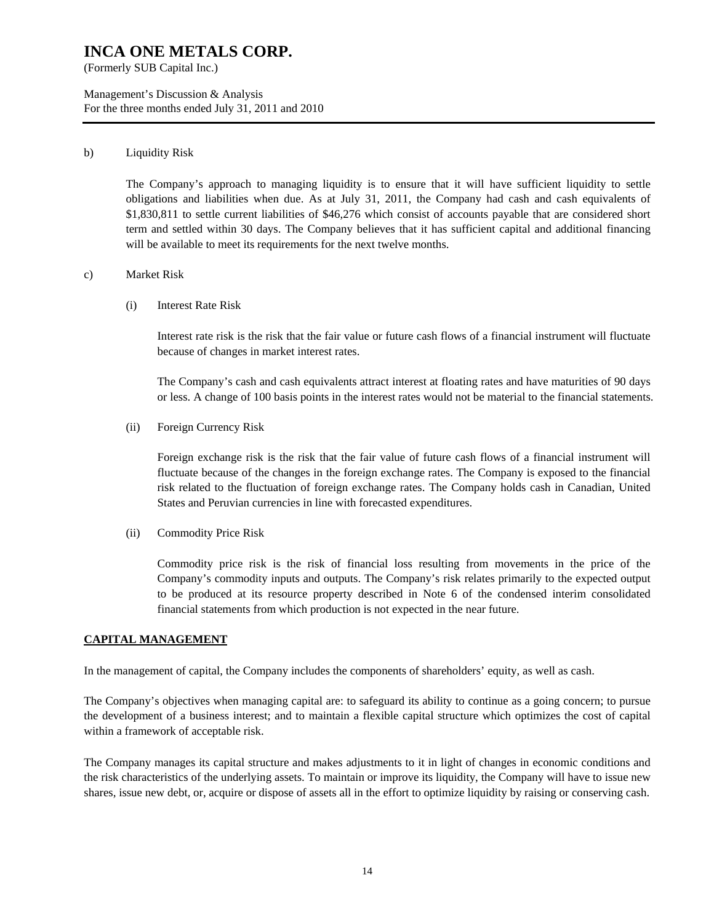(Formerly SUB Capital Inc.)

### Management's Discussion & Analysis For the three months ended July 31, 2011 and 2010

#### b) Liquidity Risk

The Company's approach to managing liquidity is to ensure that it will have sufficient liquidity to settle obligations and liabilities when due. As at July 31, 2011, the Company had cash and cash equivalents of \$1,830,811 to settle current liabilities of \$46,276 which consist of accounts payable that are considered short term and settled within 30 days. The Company believes that it has sufficient capital and additional financing will be available to meet its requirements for the next twelve months.

#### c) Market Risk

(i) Interest Rate Risk

Interest rate risk is the risk that the fair value or future cash flows of a financial instrument will fluctuate because of changes in market interest rates.

The Company's cash and cash equivalents attract interest at floating rates and have maturities of 90 days or less. A change of 100 basis points in the interest rates would not be material to the financial statements.

(ii) Foreign Currency Risk

Foreign exchange risk is the risk that the fair value of future cash flows of a financial instrument will fluctuate because of the changes in the foreign exchange rates. The Company is exposed to the financial risk related to the fluctuation of foreign exchange rates. The Company holds cash in Canadian, United States and Peruvian currencies in line with forecasted expenditures.

(ii) Commodity Price Risk

Commodity price risk is the risk of financial loss resulting from movements in the price of the Company's commodity inputs and outputs. The Company's risk relates primarily to the expected output to be produced at its resource property described in Note 6 of the condensed interim consolidated financial statements from which production is not expected in the near future.

#### **CAPITAL MANAGEMENT**

In the management of capital, the Company includes the components of shareholders' equity, as well as cash.

The Company's objectives when managing capital are: to safeguard its ability to continue as a going concern; to pursue the development of a business interest; and to maintain a flexible capital structure which optimizes the cost of capital within a framework of acceptable risk.

The Company manages its capital structure and makes adjustments to it in light of changes in economic conditions and the risk characteristics of the underlying assets. To maintain or improve its liquidity, the Company will have to issue new shares, issue new debt, or, acquire or dispose of assets all in the effort to optimize liquidity by raising or conserving cash.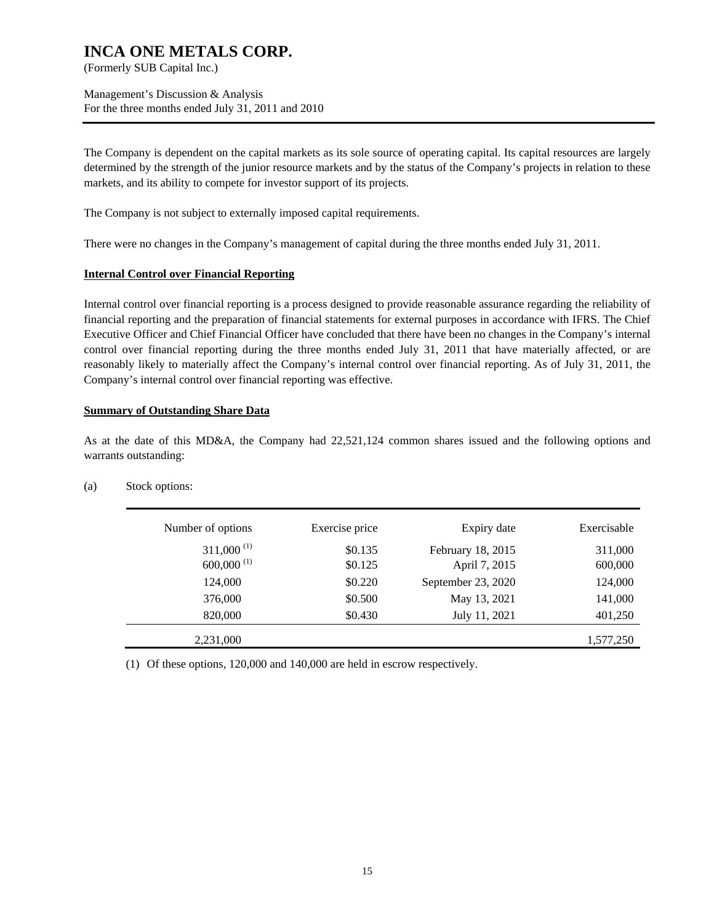(Formerly SUB Capital Inc.)

Management's Discussion & Analysis For the three months ended July 31, 2011 and 2010

The Company is dependent on the capital markets as its sole source of operating capital. Its capital resources are largely determined by the strength of the junior resource markets and by the status of the Company's projects in relation to these markets, and its ability to compete for investor support of its projects.

The Company is not subject to externally imposed capital requirements.

There were no changes in the Company's management of capital during the three months ended July 31, 2011.

#### **Internal Control over Financial Reporting**

Internal control over financial reporting is a process designed to provide reasonable assurance regarding the reliability of financial reporting and the preparation of financial statements for external purposes in accordance with IFRS. The Chief Executive Officer and Chief Financial Officer have concluded that there have been no changes in the Company's internal control over financial reporting during the three months ended July 31, 2011 that have materially affected, or are reasonably likely to materially affect the Company's internal control over financial reporting. As of July 31, 2011, the Company's internal control over financial reporting was effective.

#### **Summary of Outstanding Share Data**

As at the date of this MD&A, the Company had 22,521,124 common shares issued and the following options and warrants outstanding:

#### (a) Stock options:

| Number of options        | Exercise price | Expiry date        | Exercisable |
|--------------------------|----------------|--------------------|-------------|
| $311,000^{(1)}$          | \$0.135        | February 18, 2015  | 311,000     |
| $600,000$ <sup>(1)</sup> | \$0.125        | April 7, 2015      | 600,000     |
| 124,000                  | \$0.220        | September 23, 2020 | 124,000     |
| 376,000                  | \$0.500        | May 13, 2021       | 141,000     |
| 820,000                  | \$0.430        | July 11, 2021      | 401,250     |
| 2,231,000                |                |                    | 1,577,250   |

(1) Of these options, 120,000 and 140,000 are held in escrow respectively.